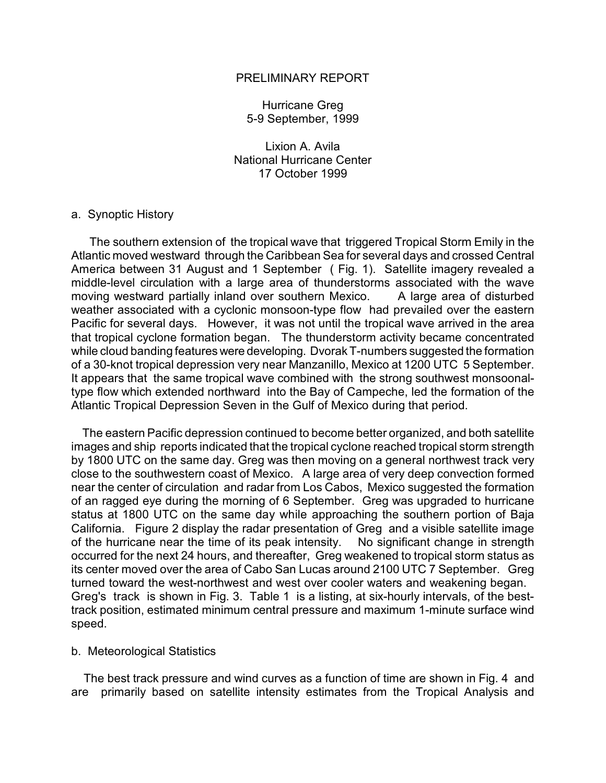# PRELIMINARY REPORT

Hurricane Greg 5-9 September, 1999

Lixion A. Avila National Hurricane Center 17 October 1999

## a. Synoptic History

 The southern extension of the tropical wave that triggered Tropical Storm Emily in the Atlantic moved westward through the Caribbean Sea for several days and crossed Central America between 31 August and 1 September ( Fig. 1). Satellite imagery revealed a middle-level circulation with a large area of thunderstorms associated with the wave moving westward partially inland over southern Mexico. A large area of disturbed weather associated with a cyclonic monsoon-type flow had prevailed over the eastern Pacific for several days. However, it was not until the tropical wave arrived in the area that tropical cyclone formation began. The thunderstorm activity became concentrated while cloud banding features were developing. Dvorak T-numbers suggested the formation of a 30-knot tropical depression very near Manzanillo, Mexico at 1200 UTC 5 September. It appears that the same tropical wave combined with the strong southwest monsoonaltype flow which extended northward into the Bay of Campeche, led the formation of the Atlantic Tropical Depression Seven in the Gulf of Mexico during that period.

 The eastern Pacific depression continued to become better organized, and both satellite images and ship reports indicated that the tropical cyclone reached tropical storm strength by 1800 UTC on the same day. Greg was then moving on a general northwest track very close to the southwestern coast of Mexico. A large area of very deep convection formed near the center of circulation and radar from Los Cabos, Mexico suggested the formation of an ragged eye during the morning of 6 September. Greg was upgraded to hurricane status at 1800 UTC on the same day while approaching the southern portion of Baja California. Figure 2 display the radar presentation of Greg and a visible satellite image of the hurricane near the time of its peak intensity. No significant change in strength occurred for the next 24 hours, and thereafter, Greg weakened to tropical storm status as its center moved over the area of Cabo San Lucas around 2100 UTC 7 September. Greg turned toward the west-northwest and west over cooler waters and weakening began. Greg's track is shown in Fig. 3. Table 1 is a listing, at six-hourly intervals, of the besttrack position, estimated minimum central pressure and maximum 1-minute surface wind speed.

### b. Meteorological Statistics

 The best track pressure and wind curves as a function of time are shown in Fig. 4 and are primarily based on satellite intensity estimates from the Tropical Analysis and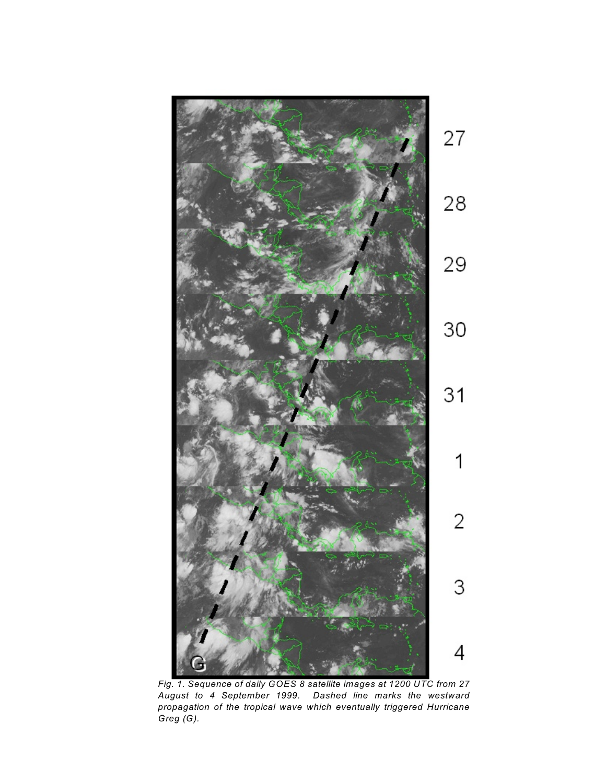

*Fig. 1. Sequence of daily GOES 8 satellite images at 1200 UTC from 27 August to 4 September 1999. Dashed line marks the westward propagation of the tropical wave which eventually triggered Hurricane Greg (G).*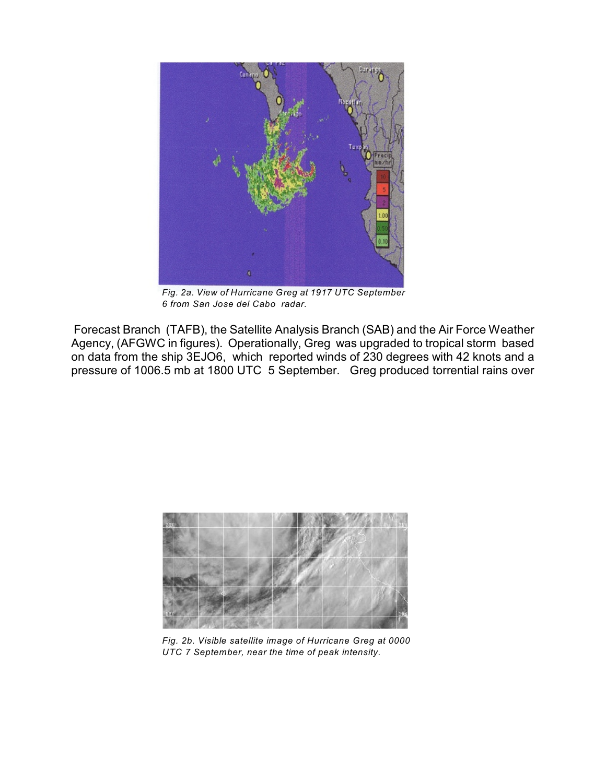

*Fig. 2a. View of Hurricane Greg at 1917 UTC September 6 from San Jose del Cabo radar.*

 Forecast Branch (TAFB), the Satellite Analysis Branch (SAB) and the Air Force Weather Agency, (AFGWC in figures). Operationally, Greg was upgraded to tropical storm based on data from the ship 3EJO6, which reported winds of 230 degrees with 42 knots and a pressure of 1006.5 mb at 1800 UTC 5 September. Greg produced torrential rains over



*Fig. 2b. Visible satellite image of Hurricane Greg at 0000 UTC 7 September, near the time of peak intensity.*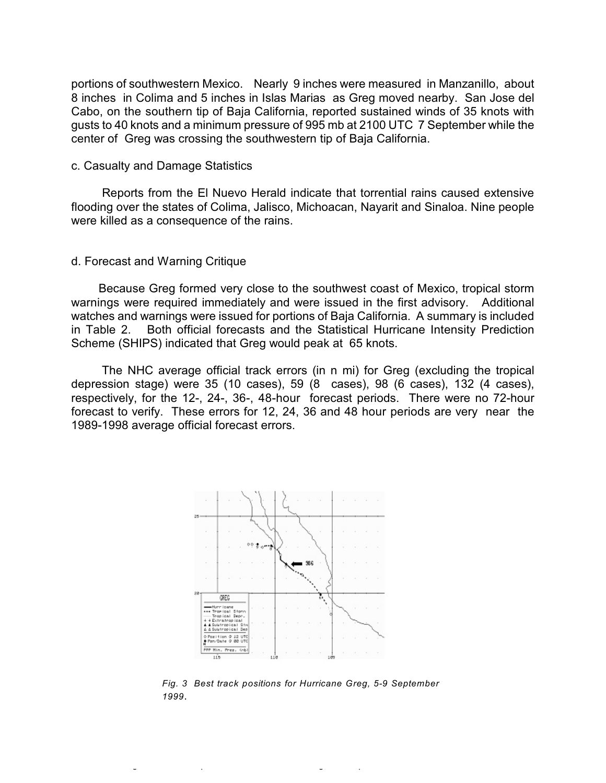portions of southwestern Mexico. Nearly 9 inches were measured in Manzanillo, about 8 inches in Colima and 5 inches in Islas Marias as Greg moved nearby. San Jose del Cabo, on the southern tip of Baja California, reported sustained winds of 35 knots with gusts to 40 knots and a minimum pressure of 995 mb at 2100 UTC 7 September while the center of Greg was crossing the southwestern tip of Baja California.

### c. Casualty and Damage Statistics

 Reports from the El Nuevo Herald indicate that torrential rains caused extensive flooding over the states of Colima, Jalisco, Michoacan, Nayarit and Sinaloa. Nine people were killed as a consequence of the rains.

#### d. Forecast and Warning Critique

 Because Greg formed very close to the southwest coast of Mexico, tropical storm warnings were required immediately and were issued in the first advisory. Additional watches and warnings were issued for portions of Baja California. A summary is included in Table 2. Both official forecasts and the Statistical Hurricane Intensity Prediction Scheme (SHIPS) indicated that Greg would peak at 65 knots.

 The NHC average official track errors (in n mi) for Greg (excluding the tropical depression stage) were 35 (10 cases), 59 (8 cases), 98 (6 cases), 132 (4 cases), respectively, for the 12-, 24-, 36-, 48-hour forecast periods. There were no 72-hour forecast to verify. These errors for 12, 24, 36 and 48 hour periods are very near the 1989-1998 average official forecast errors.



*Fig. 3 Best track positions for Hurricane Greg, 5-9 September 1999*.

*Fig. 3 Best track positions for Hurricane Greg, 5-9 September 1999*.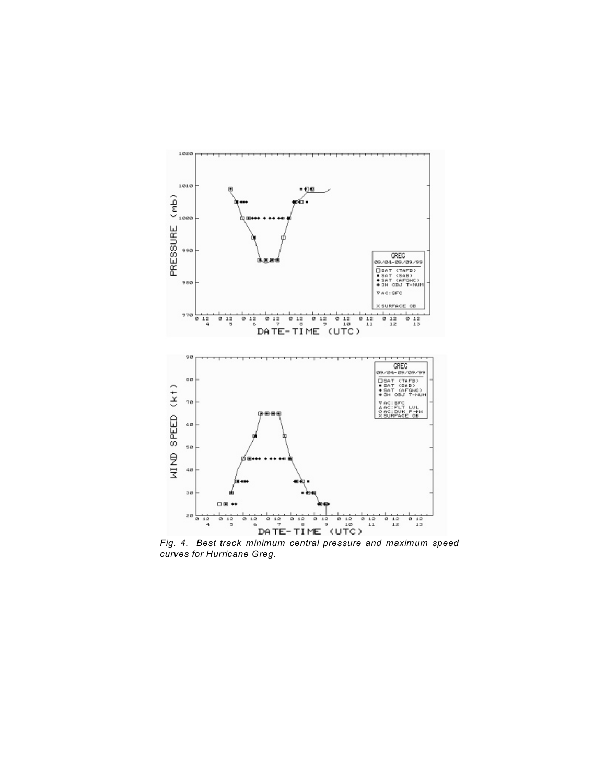

*Fig. 4. Best track minimum central pressure and maximum speed curves for Hurricane Greg.*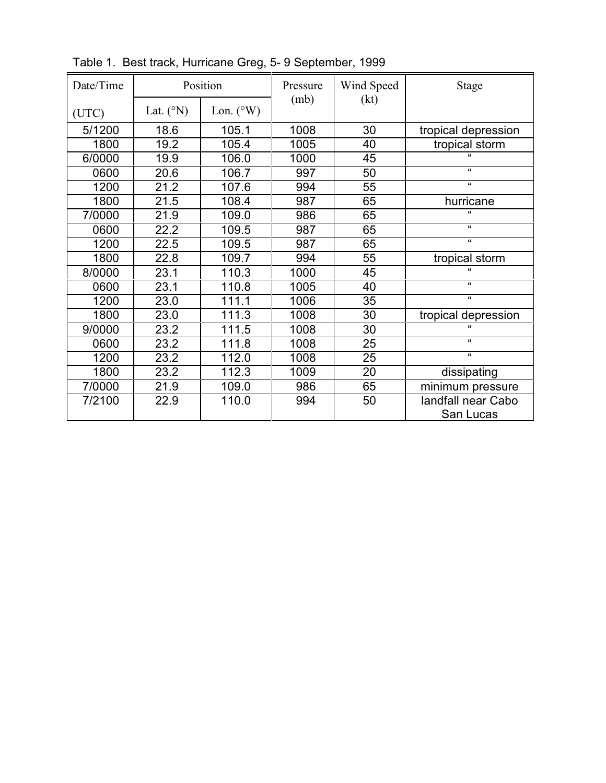| Date/Time |                    | Position           | Pressure | Wind Speed | <b>Stage</b>                    |
|-----------|--------------------|--------------------|----------|------------|---------------------------------|
| (UTC)     | Lat. $(^{\circ}N)$ | Lon. $(^{\circ}W)$ | (mb)     | (kt)       |                                 |
| 5/1200    | 18.6               | 105.1              | 1008     | 30         | tropical depression             |
| 1800      | 19.2               | 105.4              | 1005     | 40         | tropical storm                  |
| 6/0000    | 19.9               | 106.0              | 1000     | 45         |                                 |
| 0600      | 20.6               | 106.7              | 997      | 50         | $\mathbf{G}$                    |
| 1200      | 21.2               | 107.6              | 994      | 55         | $\pmb{\mathfrak{c}}$            |
| 1800      | 21.5               | 108.4              | 987      | 65         | hurricane                       |
| 7/0000    | 21.9               | 109.0              | 986      | 65         | $\mathbf{u}$                    |
| 0600      | 22.2               | 109.5              | 987      | 65         | $\epsilon$                      |
| 1200      | 22.5               | 109.5              | 987      | 65         | $\epsilon$                      |
| 1800      | 22.8               | 109.7              | 994      | 55         | tropical storm                  |
| 8/0000    | 23.1               | 110.3              | 1000     | 45         | $\mathbf{a}$                    |
| 0600      | 23.1               | 110.8              | 1005     | 40         | $\epsilon$                      |
| 1200      | 23.0               | 111.1              | 1006     | 35         | $\pmb{\mathfrak{c}}$            |
| 1800      | 23.0               | 111.3              | 1008     | 30         | tropical depression             |
| 9/0000    | 23.2               | 111.5              | 1008     | 30         | $\epsilon$                      |
| 0600      | 23.2               | 111.8              | 1008     | 25         | $\epsilon$                      |
| 1200      | 23.2               | 112.0              | 1008     | 25         | $\pmb{\mathfrak{c}}$            |
| 1800      | 23.2               | 112.3              | 1009     | 20         | dissipating                     |
| 7/0000    | 21.9               | 109.0              | 986      | 65         | minimum pressure                |
| 7/2100    | 22.9               | 110.0              | 994      | 50         | landfall near Cabo<br>San Lucas |

Table 1. Best track, Hurricane Greg, 5- 9 September, 1999